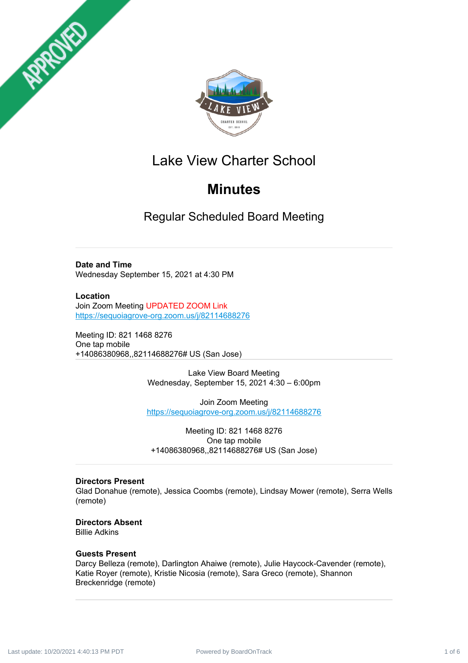



# Lake View Charter School

# **Minutes**

Regular Scheduled Board Meeting

# **Date and Time**

Wednesday September 15, 2021 at 4:30 PM

**Location** Join Zoom Meeting UPDATED ZOOM Link <https://sequoiagrove-org.zoom.us/j/82114688276>

Meeting ID: 821 1468 8276 One tap mobile +14086380968,,82114688276# US (San Jose)

> Lake View Board Meeting Wednesday, September 15, 2021 4:30 – 6:00pm

Join Zoom Meeting <https://sequoiagrove-org.zoom.us/j/82114688276>

Meeting ID: 821 1468 8276 One tap mobile +14086380968,,82114688276# US (San Jose)

# **Directors Present**

Glad Donahue (remote), Jessica Coombs (remote), Lindsay Mower (remote), Serra Wells (remote)

#### **Directors Absent** Billie Adkins

# **Guests Present**

Darcy Belleza (remote), Darlington Ahaiwe (remote), Julie Haycock-Cavender (remote), Katie Royer (remote), Kristie Nicosia (remote), Sara Greco (remote), Shannon Breckenridge (remote)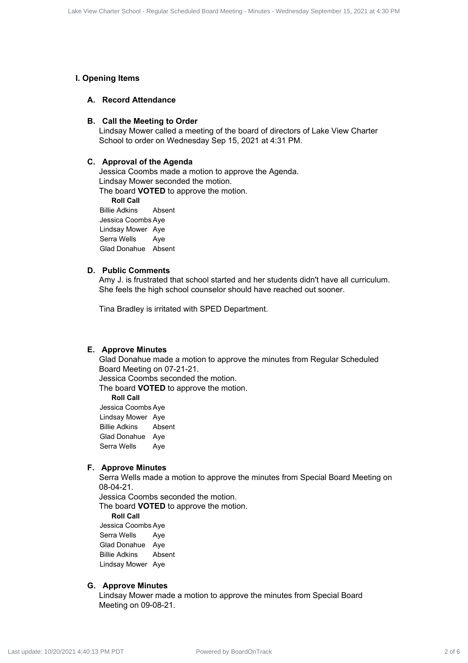# **I. Opening Items**

# **A. Record Attendance**

## **B. Call the Meeting to Order**

Lindsay Mower called a meeting of the board of directors of Lake View Charter School to order on Wednesday Sep 15, 2021 at 4:31 PM.

# **C. Approval of the Agenda**

Jessica Coombs made a motion to approve the Agenda. Lindsay Mower seconded the motion.

The board **VOTED** to approve the motion.

**Roll Call** Billie Adkins Absent Jessica Coombs Aye Lindsay Mower Aye Serra Wells Aye Glad Donahue Absent

## **D. Public Comments**

Amy J. is frustrated that school started and her students didn't have all curriculum. She feels the high school counselor should have reached out sooner.

Tina Bradley is irritated with SPED Department.

## **E. Approve Minutes**

Glad Donahue made a motion to approve the minutes from Regular Scheduled Board Meeting on 07-21-21. Last the Court Estate Charter School - Regular Schedule Charter School - Regular Schedule Charter School - Regular Scheduled Board Meeting to Order<br>
Board Meeting to Order<br>
16, 2021 at 4:31 PM Last update: 10/20/2021 at 4

Jessica Coombs seconded the motion.

The board **VOTED** to approve the motion.

**Roll Call**

Jessica Coombs Aye Lindsay Mower Aye Billie Adkins Absent Glad Donahue Aye Serra Wells Aye

# **F. Approve Minutes**

Serra Wells made a motion to approve the minutes from Special Board Meeting on 08-04-21.

Jessica Coombs seconded the motion.

The board **VOTED** to approve the motion.

**Roll Call**

Jessica Coombs Aye Serra Wells Aye Glad Donahue Aye Billie Adkins Absent Lindsay Mower Aye

#### **G. Approve Minutes**

Lindsay Mower made a motion to approve the minutes from Special Board Meeting on 09-08-21.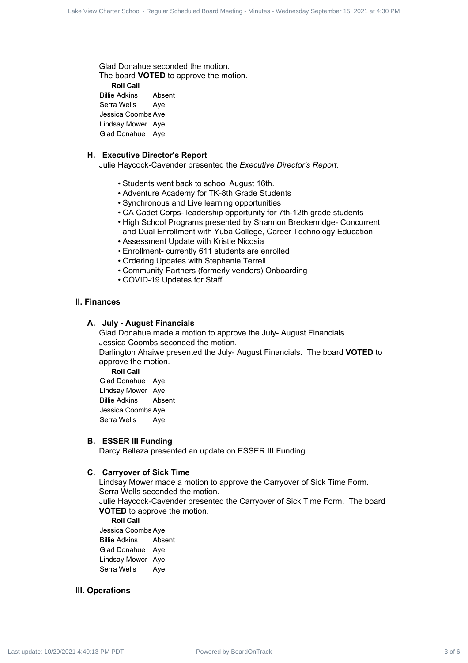Glad Donahue seconded the motion. The board **VOTED** to approve the motion. **Roll Call** Billie Adkins Absent Serra Wells Aye Jessica Coombs Aye

Lindsay Mower Aye Glad Donahue Aye

# **H. Executive Director's Report**

Julie Haycock-Cavender presented the *Executive Director's Report.*

- Students went back to school August 16th.
- Adventure Academy for TK-8th Grade Students
- Synchronous and Live learning opportunities
- CA Cadet Corps- leadership opportunity for 7th-12th grade students
- High School Programs presented by Shannon Breckenridge- Concurrent and Dual Enrollment with Yuba College, Career Technology Education
- Assessment Update with Kristie Nicosia
- Enrollment- currently 611 students are enrolled
- Ordering Updates with Stephanie Terrell
- Community Partners (formerly vendors) Onboarding
- COVID-19 Updates for Staff

# **II. Finances**

## **A. July - August Financials**

Glad Donahue made a motion to approve the July- August Financials. Jessica Coombs seconded the motion. Darlington Ahaiwe presented the July- August Financials. The board **VOTED** to approve the motion. Last view State 3 state from the matrix and the minutes - Regular Schedule Board Meeting - Regular Scheduled Scheduled Board Meeting - Minutes - Regular Scheduled Board Meeting - Minutes - Wednesday Scheduled Board Meetin

**Roll Call**

Glad Donahue Aye Lindsay Mower Aye Billie Adkins Absent Jessica Coombs Aye Serra Wells Aye

### **B. ESSER III Funding**

Darcy Belleza presented an update on ESSER III Funding.

#### **C. Carryover of Sick Time**

Lindsay Mower made a motion to approve the Carryover of Sick Time Form. Serra Wells seconded the motion. Julie Haycock-Cavender presented the Carryover of Sick Time Form. The board **VOTED** to approve the motion.

**Roll Call**

Jessica Coombs Aye Billie Adkins Absent Glad Donahue Aye Lindsay Mower Aye Serra Wells Aye

# **III. Operations**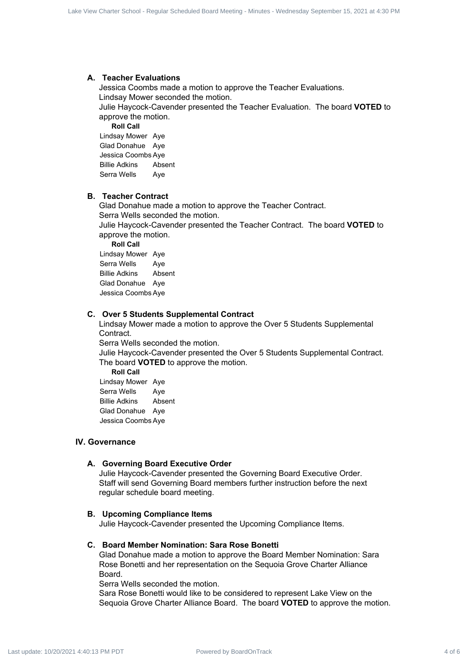## **A. Teacher Evaluations**

Jessica Coombs made a motion to approve the Teacher Evaluations. Lindsay Mower seconded the motion. Julie Haycock-Cavender presented the Teacher Evaluation. The board **VOTED** to approve the motion.

**Roll Call** Lindsay Mower Aye Glad Donahue Aye Jessica Coombs Aye Billie Adkins Absent Serra Wells Aye

# **B. Teacher Contract**

Glad Donahue made a motion to approve the Teacher Contract. Serra Wells seconded the motion. Julie Haycock-Cavender presented the Teacher Contract. The board **VOTED** to approve the motion. **Roll Call** Lindsay Mower Aye Serra Wells Aye Billie Adkins Absent Glad Donahue Aye Lake You Care Estimal - Spot Extends 4 of 6 Lake View Charter School - Regular Contract 5 And the Charter School - Regular Scheduled Board Meeting - Minutes - Wednesday September 15, 2021 at 4:30 PM Last update: 10/2021 a

Jessica Coombs Aye

# **C. Over 5 Students Supplemental Contract**

Lindsay Mower made a motion to approve the Over 5 Students Supplemental Contract.

Serra Wells seconded the motion.

Julie Haycock-Cavender presented the Over 5 Students Supplemental Contract. The board **VOTED** to approve the motion.

**Roll Call** Lindsay Mower Aye Serra Wells Aye Billie Adkins Absent Glad Donahue Aye Jessica Coombs Aye

## **IV. Governance**

#### **A. Governing Board Executive Order**

Julie Haycock-Cavender presented the Governing Board Executive Order. Staff will send Governing Board members further instruction before the next regular schedule board meeting.

#### **B. Upcoming Compliance Items**

Julie Haycock-Cavender presented the Upcoming Compliance Items.

#### **C. Board Member Nomination: Sara Rose Bonetti**

Glad Donahue made a motion to approve the Board Member Nomination: Sara Rose Bonetti and her representation on the Sequoia Grove Charter Alliance Board.

Serra Wells seconded the motion.

Sara Rose Bonetti would like to be considered to represent Lake View on the Sequoia Grove Charter Alliance Board. The board **VOTED** to approve the motion.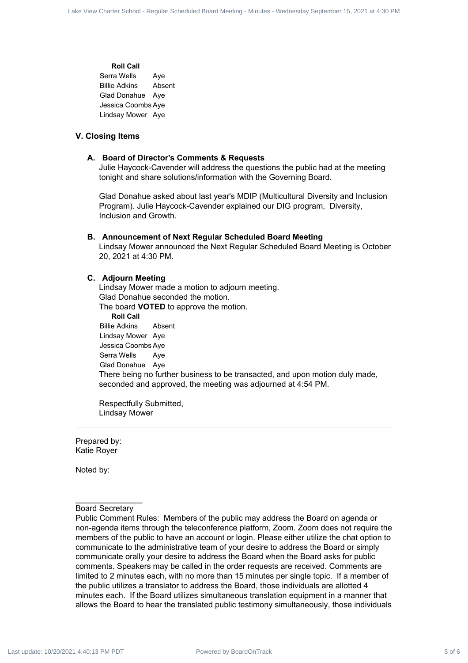# **Roll Call** Serra Wells Aye Billie Adkins Absent Glad Donahue Aye Jessica Coombs Aye Lindsay Mower Aye

## **V. Closing Items**

#### **A. Board of Director's Comments & Requests**

Julie Haycock-Cavender will address the questions the public had at the meeting tonight and share solutions/information with the Governing Board.

Glad Donahue asked about last year's MDIP (Multicultural Diversity and Inclusion Program). Julie Haycock-Cavender explained our DIG program, Diversity, Inclusion and Growth.

## **B. Announcement of Next Regular Scheduled Board Meeting**

Lindsay Mower announced the Next Regular Scheduled Board Meeting is October 20, 2021 at 4:30 PM.

#### **C. Adjourn Meeting**

Lindsay Mower made a motion to adjourn meeting. Glad Donahue seconded the motion. The board **VOTED** to approve the motion. **Roll Call** Billie Adkins Absent Lindsay Mower Aye Jessica Coombs Aye Serra Wells Aye Glad Donahue Aye There being no further business to be transacted, and upon motion duly made, seconded and approved, the meeting was adjourned at 4:54 PM.

Respectfully Submitted, Lindsay Mower

Prepared by: Katie Royer

Noted by:

# Board Secretary

Public Comment Rules: Members of the public may address the Board on agenda or non-agenda items through the teleconference platform, Zoom. Zoom does not require the members of the public to have an account or login. Please either utilize the chat option to communicate to the administrative team of your desire to address the Board or simply communicate orally your desire to address the Board when the Board asks for public comments. Speakers may be called in the order requests are received. Comments are limited to 2 minutes each, with no more than 15 minutes per single topic. If a member of the public utilizes a translator to address the Board, those individuals are allotted 4 minutes each. If the Board utilizes simultaneous translation equipment in a manner that allows the Board to hear the translated public testimony simultaneously, those individuals Lake track 5 and 2000 Meeting 6 Meeting of Meeting Scheduled Board Charter Scheduled Board Meeting - Regular Scheduled Board Meeting - Minutes - Wednesday Scheduled Board Meeting - Minutes - Wednesday Scheduled Board Meet